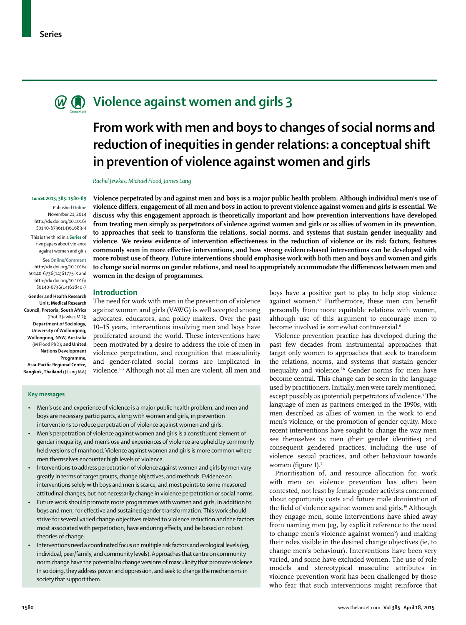# **Violence against women and girls 3**

# **From work with men and boys to changes of social norms and reduction of inequities in gender relations: a conceptual shift in prevention of violence against women and girls**

*Rachel Jewkes, Michael Flood, James Lang*

#### *Lancet* **2015; 385: 1580–89**

Published **Online** November 21, 2014 http://dx.doi.org/10.1016/ S0140-6736(14)61683-4

This is the third in a **Series** of five papers about violence against women and girls

See **Online/Comment** http://dx.doi.org/10.1016/ S0140-6736(14)61775-X and http://dx.doi.org/10.1016/ S0140-6736(14)61840-7

**Gender and Health Research Unit, Medical Research Council, Pretoria, South Africa**  (Prof R Jewkes MD)**; Department of Sociology, University of Wollongong, Wollongong, NSW, Australia**  (M Flood PhD)**; and United Nations Development Programme, Asia-Pacific Regional Centre,** 

**Bangkok, Thailand** (J Lang MA)

#### **Key messages**

**Violence perpetrated by and against men and boys is a major public health problem. Although individual men's use of**  violence differs, engagement of all men and boys in action to prevent violence against women and girls is essential. We **discuss why this engagement approach is theoretically important and how prevention interventions have developed from treating men simply as perpetrators of violence against women and girls or as allies of women in its prevention, to approaches that seek to transform the relations, social norms, and systems that sustain gender inequality and**  violence. We review evidence of intervention effectiveness in the reduction of violence or its risk factors, features commonly seen in more effective interventions, and how strong evidence-based interventions can be developed with **more robust use of theory. Future interventions should emphasise work with both men and boys and women and girls**  to change social norms on gender relations, and need to appropriately accommodate the differences between men and **women in the design of programmes.**

### **Introduction**

The need for work with men in the prevention of violence against women and girls (VAWG) is well accepted among advocates, educators, and policy makers. Over the past 10–15 years, interventions involving men and boys have proliferated around the world. These interventions have been motivated by a desire to address the role of men in violence perpetration, and recognition that masculinity and gender-related social norms are implicated in violence.1–3 Although not all men are violent, all men and

- Men's use and experience of violence is a major public health problem, and men and boys are necessary participants, along with women and girls, in prevention interventions to reduce perpetration of violence against women and girls.
- Men's perpetration of violence against women and girls is a constituent element of gender inequality, and men's use and experiences of violence are upheld by commonly held versions of manhood. Violence against women and girls is more common where men themselves encounter high levels of violence.
- Interventions to address perpetration of violence against women and girls by men vary greatly in terms of target groups, change objectives, and methods. Evidence on interventions solely with boys and men is scarce, and most points to some measured attitudinal changes, but not necessarily change in violence perpetration or social norms.
- Future work should promote more programmes with women and girls, in addition to boys and men, for effective and sustained gender transformation. This work should strive for several varied change objectives related to violence reduction and the factors most associated with perpetration, have enduring effects, and be based on robust theories of change.
- Interventions need a coordinated focus on multiple risk factors and ecological levels (eg, individual, peer/family, and community levels). Approaches that centre on community norm change have the potential to change versions of masculinity that promote violence. In so doing, they address power and oppression, and seek to change the mechanisms in society that support them.

boys have a positive part to play to help stop violence against women.<sup>4,5</sup> Furthermore, these men can benefit personally from more equitable relations with women, although use of this argument to encourage men to become involved is somewhat controversial.<sup>6</sup>

Violence prevention practice has developed during the past few decades from instrumental approaches that target only women to approaches that seek to transform the relations, norms, and systems that sustain gender inequality and violence.<sup>7,8</sup> Gender norms for men have become central. This change can be seen in the language used by practitioners. Initially, men were rarely mentioned, except possibly as (potential) perpetrators of violence.<sup>4</sup> The language of men as partners emerged in the 1990s, with men described as allies of women in the work to end men's violence, or the promotion of gender equity. More recent interventions have sought to change the way men see themselves as men (their gender identities) and consequent gendered practices, including the use of violence, sexual practices, and other behaviour towards women (figure 1).<sup>9</sup>

Prioritisation of, and resource allocation for, work with men on violence prevention has often been contested, not least by female gender activists concerned about opportunity costs and future male domination of the field of violence against women and girls.<sup>10</sup> Although they engage men, some interventions have shied away from naming men (eg, by explicit reference to the need to change men's violence against women<sup>5</sup>) and making their roles visible in the desired change objectives (ie, to change men's behaviour). Interventions have been very varied, and some have excluded women. The use of role models and stereotypical masculine attributes in violence prevention work has been challenged by those who fear that such interventions might reinforce that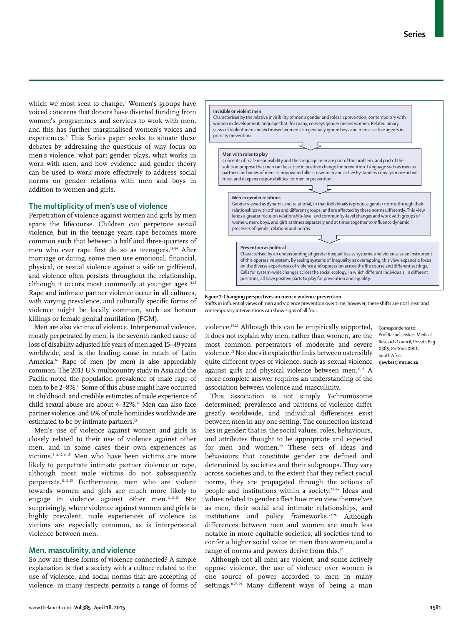which we most seek to change.9 Women's groups have voiced concerns that donors have diverted funding from women's programmes and services to work with men, and this has further marginalised women's voices and experiences.6 This Series paper seeks to situate these debates by addressing the questions of why focus on men's violence, what part gender plays, what works in work with men, and how evidence and gender theory can be used to work more effectively to address social norms on gender relations with men and boys in addition to women and girls.

# **The multiplicity of men's use of violence**

Perpetration of violence against women and girls by men spans the lifecourse. Children can perpetrate sexual violence, but in the teenage years rape becomes more common such that between a half and three-quarters of men who ever rape first do so as teenagers.<sup>11–14</sup> After marriage or dating, some men use emotional, financial, physical, or sexual violence against a wife or girlfriend, and violence often persists throughout the relationship, although it occurs most commonly at younger ages.<sup>14,15</sup> Rape and intimate partner violence occur in all cultures, with varying prevalence, and culturally specific forms of violence might be locally common, such as honour killings or female genital mutilation (FGM).

Men are also victims of violence. Interpersonal violence, mostly perpetrated by men, is the seventh ranked cause of loss of disability-adjusted life years of men aged 15–49 years worldwide, and is the leading cause in much of Latin America.<sup>16</sup> Rape of men (by men) is also appreciably common. The 2013 UN multicountry study in Asia and the Pacific noted the population prevalence of male rape of men to be 2–8%.<sup>11</sup> Some of this abuse might have occurred in childhood, and credible estimates of male experience of child sexual abuse are about 4–32%.17 Men can also face partner violence, and 6% of male homicides worldwide are estimated to be by intimate partners.<sup>18</sup>

Men's use of violence against women and girls is closely related to their use of violence against other men, and in some cases their own experiences as victims.5,11,12,14,15 Men who have been victims are more likely to perpetrate intimate partner violence or rape, although most male victims do not subsequently perpetrate.11,12,15 Furthermore, men who are violent towards women and girls are much more likely to engage in violence against other men.11,12,15 Not surprisingly, where violence against women and girls is highly prevalent, male experiences of violence as victims are especially common, as is interpersonal violence between men.

## **Men, masculinity, and violence**

So how are these forms of violence connected? A simple explanation is that a society with a culture related to the use of violence, and social norms that are accepting of violence, in many respects permits a range of forms of



*Figure 1:* **Changing perspectives on men in violence prevention**

Shifts in influential views of men and violence prevention over time; however, these shifts are not linear and contemporary interventions can show signs of all four.

violence.19,20 Although this can be empirically supported, it does not explain why men, rather than women, are the most common perpetrators of moderate and severe violence.<sup>21</sup> Nor does it explain the links between ostensibly quite different types of violence, such as sexual violence against girls and physical violence between men.<sup>11,15</sup> A more complete answer requires an understanding of the association between violence and masculinity.

This association is not simply Y-chromosome determined; prevalence and patterns of violence differ greatly worldwide, and individual differences exist between men in any one setting. The connection instead lies in gender; that is, the social values, roles, behaviours, and attributes thought to be appropriate and expected for men and women.<sup>22</sup> These sets of ideas and behaviours that constitute gender are defined and determined by societies and their subgroups. They vary across societies and, to the extent that they reflect social norms, they are propagated through the actions of people and institutions within a society.23–25 Ideas and values related to gender affect how men view themselves as men, their social and intimate relationships, and institutions and policy frameworks.<sup>22,26</sup> Although differences between men and women are much less notable in more equitable societies, all societies tend to confer a higher social value on men than women, and a range of norms and powers derive from this.<sup>27</sup>

Although not all men are violent, and some actively oppose violence, the use of violence over women is one source of power accorded to men in many settings.<sup>8,28,29</sup> Many different ways of being a man

Correspondence to: Prof Rachel Jewkes, Medical Research Council, Private Bag X385, Pretoria 0001, South Africa **rjewkes@mrc.ac.za**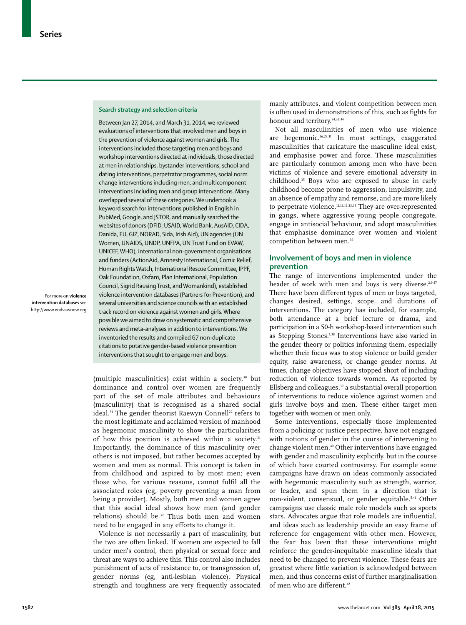#### **Search strategy and selection criteria**

Between Jan 27, 2014, and March 31, 2014, we reviewed evaluations of interventions that involved men and boys in the prevention of violence against women and girls. The interventions included those targeting men and boys and workshop interventions directed at individuals, those directed at men in relationships, bystander interventions, school and dating interventions, perpetrator programmes, social norm change interventions including men, and multicomponent interventions including men and group interventions. Many overlapped several of these categories. We undertook a keyword search for interventions published in English in PubMed, Google, and JSTOR, and manually searched the websites of donors (DFID, USAID, World Bank, AusAID, CIDA, Danida, EU, GIZ, NORAD, Sida, Irish Aid), UN agencies (UN Women, UNAIDS, UNDP, UNFPA, UN Trust Fund on EVAW, UNICEF, WHO), international non-government organisations and funders (ActionAid, Amnesty International, Comic Relief, Human Rights Watch, International Rescue Committee, IPPF, Oak Foundation, Oxfam, Plan International, Population Council, Sigrid Rausing Trust, and Womankind), established violence intervention databases (Partners for Prevention), and several universities and science councils with an established track record on violence against women and girls. Where possible we aimed to draw on systematic and comprehensive reviews and meta-analyses in addition to interventions. We inventoried the results and compiled 67 non-duplicate citations to putative gender-based violence prevention interventions that sought to engage men and boys.

For more on **violence intervention databases** see http://www.endvawnow.org

> (multiple masculinities) exist within a society,30 but dominance and control over women are frequently part of the set of male attributes and behaviours (masculinity) that is recognised as a shared social ideal.<sup>31</sup> The gender theorist Raewyn Connell<sup>22</sup> refers to the most legitimate and acclaimed version of manhood as hegemonic masculinity to show the particularities of how this position is achieved within a society.<sup>31</sup> Importantly, the dominance of this masculinity over others is not imposed, but rather becomes accepted by women and men as normal. This concept is taken in from childhood and aspired to by most men; even those who, for various reasons, cannot fulfil all the associated roles (eg, poverty preventing a man from being a provider). Mostly, both men and women agree that this social ideal shows how men (and gender relations) should be.<sup>32</sup> Thus both men and women need to be engaged in any efforts to change it.

> Violence is not necessarily a part of masculinity, but the two are often linked. If women are expected to fall under men's control, then physical or sexual force and threat are ways to achieve this. This control also includes punishment of acts of resistance to, or transgression of, gender norms (eg, anti-lesbian violence). Physical strength and toughness are very frequently associated

manly attributes, and violent competition between men is often used in demonstrations of this, such as fights for honour and territory.<sup>24,33,34</sup>

Not all masculinities of men who use violence are hegemonic.26,27,31 In most settings, exaggerated masculinities that caricature the masculine ideal exist, and emphasise power and force. These masculinities are particularly common among men who have been victims of violence and severe emotional adversity in childhood.35 Boys who are exposed to abuse in early childhood become prone to aggression, impulsivity, and an absence of empathy and remorse, and are more likely to perpetrate violence.<sup>11,12,15,33,35</sup> They are over-represented in gangs, where aggressive young people congregate, engage in antisocial behaviour, and adopt masculinities that emphasise dominance over women and violent competition between men.<sup>36</sup>

## **Involvement of boys and men in violence prevention**

The range of interventions implemented under the header of work with men and boys is very diverse.<sup>2,9,37</sup> There have been different types of men or boys targeted, changes desired, settings, scope, and durations of interventions. The category has included, for example, both attendance at a brief lecture or drama, and participation in a 50-h workshop-based intervention such as Stepping Stones.<sup>1,38</sup> Interventions have also varied in the gender theory or politics informing them, especially whether their focus was to stop violence or build gender equity, raise awareness, or change gender norms. At times, change objectives have stopped short of including reduction of violence towards women. As reported by Ellsberg and colleagues,<sup>39</sup> a substantial overall proportion of interventions to reduce violence against women and girls involve boys and men. These either target men together with women or men only.

Some interventions, especially those implemented from a policing or justice perspective, have not engaged with notions of gender in the course of intervening to change violent men.40 Other interventions have engaged with gender and masculinity explicitly, but in the course of which have courted controversy. For example some campaigns have drawn on ideas commonly associated with hegemonic masculinity such as strength, warrior, or leader, and spun them in a direction that is non-violent, consensual, or gender equitable.<sup>5,41</sup> Other campaigns use classic male role models such as sports stars. Advocates argue that role models are influential, and ideas such as leadership provide an easy frame of reference for engagement with other men. However, the fear has been that these interventions might reinforce the gender-inequitable masculine ideals that need to be changed to prevent violence. These fears are greatest where little variation is acknowledged between men, and thus concerns exist of further marginalisation of men who are different.<sup>42</sup>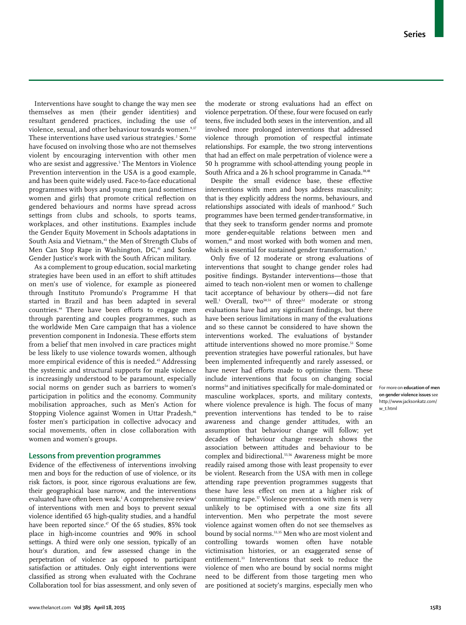Interventions have sought to change the way men see themselves as men (their gender identities) and resultant gendered practices, including the use of violence, sexual, and other behaviour towards women.<sup>9,37</sup> These interventions have used various strategies.<sup>2</sup> Some have focused on involving those who are not themselves violent by encouraging intervention with other men who are sexist and aggressive.5 The Mentors in Violence Prevention intervention in the USA is a good example, and has been quite widely used. Face-to-face educational programmes with boys and young men (and sometimes women and girls) that promote critical reflection on gendered behaviours and norms have spread across settings from clubs and schools, to sports teams, workplaces, and other institutions. Examples include the Gender Equity Movement in Schools adaptations in South Asia and Vietnam,<sup>43</sup> the Men of Strength Clubs of Men Can Stop Rape in Washington, DC,<sup>41</sup> and Sonke Gender Justice's work with the South African military.

As a complement to group education, social marketing strategies have been used in an effort to shift attitudes on men's use of violence, for example as pioneered through Instituto Promundo's Programme H that started in Brazil and has been adapted in several countries.<sup>44</sup> There have been efforts to engage men through parenting and couples programmes, such as the worldwide Men Care campaign that has a violence prevention component in Indonesia. These efforts stem from a belief that men involved in care practices might be less likely to use violence towards women, although more empirical evidence of this is needed.<sup>45</sup> Addressing the systemic and structural supports for male violence is increasingly understood to be paramount, especially social norms on gender such as barriers to women's participation in politics and the economy. Community mobilisation approaches, such as Men's Action for Stopping Violence against Women in Uttar Pradesh,<sup>46</sup> foster men's participation in collective advocacy and social movements, often in close collaboration with women and women's groups.

## **Lessons from prevention programmes**

Evidence of the effectiveness of interventions involving men and boys for the reduction of use of violence, or its risk factors, is poor, since rigorous evaluations are few, their geographical base narrow, and the interventions evaluated have often been weak.' A comprehensive review' of interventions with men and boys to prevent sexual violence identified 65 high-quality studies, and a handful have been reported since.<sup>47</sup> Of the 65 studies, 85% took place in high-income countries and 90% in school settings. A third were only one session, typically of an hour's duration, and few assessed change in the perpetration of violence as opposed to participant satisfaction or attitudes. Only eight interventions were classified as strong when evaluated with the Cochrane Collaboration tool for bias assessment, and only seven of the moderate or strong evaluations had an effect on violence perpetration. Of these, four were focused on early teens, five included both sexes in the intervention, and all involved more prolonged interventions that addressed violence through promotion of respectful intimate relationships. For example, the two strong interventions that had an effect on male perpetration of violence were a 50 h programme with school-attending young people in South Africa and a 26 h school programme in Canada.<sup>38,48</sup>

Despite the small evidence base, these effective interventions with men and boys address masculinity; that is they explicitly address the norms, behaviours, and relationships associated with ideals of manhood.<sup>47</sup> Such programmes have been termed gender-transformative, in that they seek to transform gender norms and promote more gender-equitable relations between men and women,<sup>49</sup> and most worked with both women and men, which is essential for sustained gender transformation.<sup>1</sup>

Only five of 12 moderate or strong evaluations of interventions that sought to change gender roles had positive findings. Bystander interventions—those that aimed to teach non-violent men or women to challenge tacit acceptance of behaviour by others—did not fare well.<sup>1</sup> Overall, two<sup>50,51</sup> of three<sup>52</sup> moderate or strong evaluations have had any significant findings, but there have been serious limitations in many of the evaluations and so these cannot be considered to have shown the interventions worked. The evaluations of bystander attitude interventions showed no more promise.<sup>53</sup> Some prevention strategies have powerful rationales, but have been implemented infrequently and rarely assessed, or have never had efforts made to optimise them. These include interventions that focus on changing social norms<sup>54</sup> and initiatives specifically for male-dominated or masculine workplaces, sports, and military contexts, where violence prevalence is high. The focus of many prevention interventions has tended to be to raise awareness and change gender attitudes, with an assumption that behaviour change will follow; yet decades of behaviour change research shows the association between attitudes and behaviour to be complex and bidirectional.55,56 Awareness might be more readily raised among those with least propensity to ever be violent. Research from the USA with men in college attending rape prevention programmes suggests that these have less effect on men at a higher risk of committing rape.<sup>57</sup> Violence prevention with men is very unlikely to be optimised with a one size fits all intervention. Men who perpetrate the most severe violence against women often do not see themselves as bound by social norms.<sup>33,35</sup> Men who are most violent and controlling towards women often have notable victimisation histories, or an exaggerated sense of entitlement.<sup>33</sup> Interventions that seek to reduce the violence of men who are bound by social norms might need to be different from those targeting men who are positioned at society's margins, especially men who

For more on **education of men on gender violence issues** see http://www.jacksonkatz.com/ w\_t.html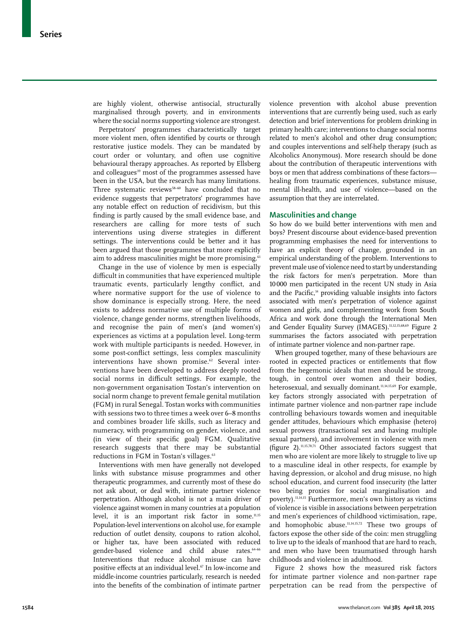are highly violent, otherwise antisocial, structurally marginalised through poverty, and in environments where the social norms supporting violence are strongest.

Perpetrators' programmes characteristically target more violent men, often identified by courts or through restorative justice models. They can be mandated by court order or voluntary, and often use cognitive behavioural therapy approaches. As reported by Ellsberg and colleagues<sup>39</sup> most of the programmes assessed have been in the USA, but the research has many limitations. Three systematic reviews<sup>58–60</sup> have concluded that no evidence suggests that perpetrators' programmes have any notable effect on reduction of recidivism, but this finding is partly caused by the small evidence base, and researchers are calling for more tests of such interventions using diverse strategies in different settings. The interventions could be better and it has been argued that those programmes that more explicitly aim to address masculinities might be more promising.<sup>61</sup>

Change in the use of violence by men is especially difficult in communities that have experienced multiple traumatic events, particularly lengthy conflict, and where normative support for the use of violence to show dominance is especially strong. Here, the need exists to address normative use of multiple forms of violence, change gender norms, strengthen livelihoods, and recognise the pain of men's (and women's) experiences as victims at a population level. Long-term work with multiple participants is needed. However, in some post-conflict settings, less complex masculinity interventions have shown promise.<sup>62</sup> Several interventions have been developed to address deeply rooted social norms in difficult settings. For example, the non-government organisation Tostan's intervention on social norm change to prevent female genital mutilation (FGM) in rural Senegal. Tostan works with communities with sessions two to three times a week over 6–8 months and combines broader life skills, such as literacy and numeracy, with programming on gender, violence, and (in view of their specific goal) FGM. Qualitative research suggests that there may be substantial reductions in FGM in Tostan's villages.<sup>63</sup>

Interventions with men have generally not developed links with substance misuse programmes and other therapeutic programmes, and currently most of these do not ask about, or deal with, intimate partner violence perpetration. Although alcohol is not a main driver of violence against women in many countries at a population level, it is an important risk factor in some.<sup>11,15</sup> Population-level interventions on alcohol use, for example reduction of outlet density, coupons to ration alcohol, or higher tax, have been associated with reduced gender-based violence and child abuse rates.<sup>64-66</sup> Interventions that reduce alcohol misuse can have positive effects at an individual level.<sup>67</sup> In low-income and middle-income countries particularly, research is needed into the benefits of the combination of intimate partner violence prevention with alcohol abuse prevention interventions that are currently being used, such as early detection and brief interventions for problem drinking in primary health care; interventions to change social norms related to men's alcohol and other drug consumption; and couples interventions and self-help therapy (such as Alcoholics Anonymous). More research should be done about the contribution of therapeutic interventions with boys or men that address combinations of these factors healing from traumatic experiences, substance misuse, mental ill-health, and use of violence—based on the assumption that they are interrelated.

## **Masculinities and change**

So how do we build better interventions with men and boys? Present discourse about evidence-based prevention programming emphasises the need for interventions to have an explicit theory of change, grounded in an empirical understanding of the problem. Interventions to prevent male use of violence need to start by understanding the risk factors for men's perpetration. More than 10 000 men participated in the recent UN study in Asia and the Pacific, $<sup>14</sup>$  providing valuable insights into factors</sup> associated with men's perpetration of violence against women and girls, and complementing work from South Africa and work done through the International Men and Gender Equality Survey (IMAGES).11,12,15,68,69 Figure 2 summarises the factors associated with perpetration of intimate partner violence and non-partner rape.

When grouped together, many of these behaviours are rooted in expected practices or entitlements that flow from the hegemonic ideals that men should be strong, tough, in control over women and their bodies, heterosexual, and sexually dominant.<sup>11,14,15,69</sup> For example, key factors strongly associated with perpetration of intimate partner violence and non-partner rape include controlling behaviours towards women and inequitable gender attitudes, behaviours which emphasise (hetero) sexual prowess (transactional sex and having multiple sexual partners), and involvement in violence with men (figure 2).<sup>11,15,70,71</sup> Other associated factors suggest that men who are violent are more likely to struggle to live up to a masculine ideal in other respects, for example by having depression, or alcohol and drug misuse, no high school education, and current food insecurity (the latter two being proxies for social marginalisation and poverty).11,14,15 Furthermore, men's own history as victims of violence is visible in associations between perpetration and men's experiences of childhood victimisation, rape, and homophobic abuse.11,14,15,72 These two groups of factors expose the other side of the coin: men struggling to live up to the ideals of manhood that are hard to reach, and men who have been traumatised through harsh childhoods and violence in adulthood.

Figure 2 shows how the measured risk factors for intimate partner violence and non-partner rape perpetration can be read from the perspective of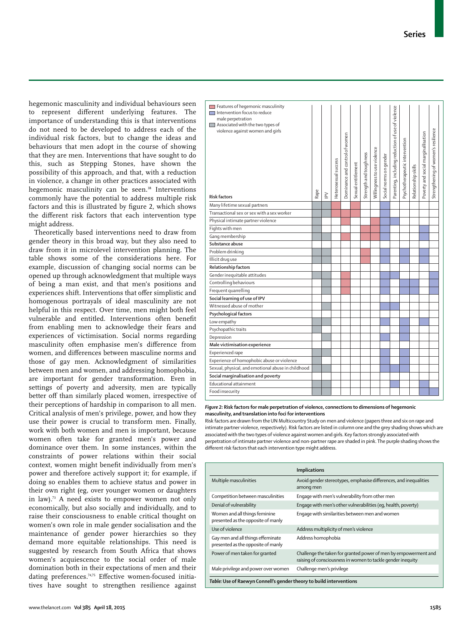hegemonic masculinity and individual behaviours seen to represent different underlying features. The importance of understanding this is that interventions do not need to be developed to address each of the individual risk factors, but to change the ideas and behaviours that men adopt in the course of showing that they are men. Interventions that have sought to do this, such as Stepping Stones, have shown the possibility of this approach, and that, with a reduction in violence, a change in other practices associated with hegemonic masculinity can be seen.<sup>38</sup> Interventions commonly have the potential to address multiple risk factors and this is illustrated by figure 2, which shows the different risk factors that each intervention type might address.

Theoretically based interventions need to draw from gender theory in this broad way, but they also need to draw from it in microlevel intervention planning. The table shows some of the considerations here. For example, discussion of changing social norms can be opened up through acknowledgment that multiple ways of being a man exist, and that men's positions and experiences shift. Interventions that offer simplistic and homogenous portrayals of ideal masculinity are not helpful in this respect. Over time, men might both feel vulnerable and entitled. Interventions often benefit from enabling men to acknowledge their fears and experiences of victimisation. Social norms regarding masculinity often emphasise men's difference from women, and differences between masculine norms and those of gay men. Acknowledgment of similarities between men and women, and addressing homophobia, are important for gender transformation. Even in settings of poverty and adversity, men are typically better off than similarly placed women, irrespective of their perceptions of hardship in comparison to all men. Critical analysis of men's privilege, power, and how they use their power is crucial to transform men. Finally, work with both women and men is important, because women often take for granted men's power and dominance over them. In some instances, within the constraints of power relations within their social context, women might benefit individually from men's power and therefore actively support it; for example, if doing so enables them to achieve status and power in their own right (eg, over younger women or daughters in law).<sup>73</sup> A need exists to empower women not only economically, but also socially and individually, and to raise their consciousness to enable critical thought on women's own role in male gender socialisation and the maintenance of gender power hierarchies so they demand more equitable relationships. This need is suggested by research from South Africa that shows women's acquiescence to the social order of male domination both in their expectations of men and their dating preferences.<sup>74,75</sup> Effective women-focused initiatives have sought to strengthen resilience against

| Features of hegemonic masculinity<br>Intervention focus to reduce<br>male perpetration<br>Associated with the two types of<br>violence against women and girls<br><b>Risk factors</b> | Rape | $\geq$ | Heterosexual success | Dominance and control of women | Sexual entitlement | Strength and toughness | Willingness to use violence | Social norms on gender | Parenting, including reduction of use of violence | Psychotherapeutic intervention | Relationship skills | Poverty and social marginallisation | Strengthening of women's resilience |
|---------------------------------------------------------------------------------------------------------------------------------------------------------------------------------------|------|--------|----------------------|--------------------------------|--------------------|------------------------|-----------------------------|------------------------|---------------------------------------------------|--------------------------------|---------------------|-------------------------------------|-------------------------------------|
| Many lifetime sexual partners                                                                                                                                                         |      |        |                      |                                |                    |                        |                             |                        |                                                   |                                |                     |                                     |                                     |
| Transactional sex or sex with a sex worker                                                                                                                                            |      |        |                      |                                |                    |                        |                             |                        |                                                   |                                |                     |                                     |                                     |
| Physical intimate partner violence                                                                                                                                                    |      |        |                      |                                |                    |                        |                             |                        |                                                   |                                |                     |                                     |                                     |
| Fights with men                                                                                                                                                                       |      |        |                      |                                |                    |                        |                             |                        |                                                   |                                |                     |                                     |                                     |
| Gang membership                                                                                                                                                                       |      |        |                      |                                |                    |                        |                             |                        |                                                   |                                |                     |                                     |                                     |
| Substance abuse                                                                                                                                                                       |      |        |                      |                                |                    |                        |                             |                        |                                                   |                                |                     |                                     |                                     |
| Problem drinking                                                                                                                                                                      |      |        |                      |                                |                    |                        |                             |                        |                                                   |                                |                     |                                     |                                     |
| Illicit drug use                                                                                                                                                                      |      |        |                      |                                |                    |                        |                             |                        |                                                   |                                |                     |                                     |                                     |
| Relationship factors                                                                                                                                                                  |      |        |                      |                                |                    |                        |                             |                        |                                                   |                                |                     |                                     |                                     |
| Gender inequitable attitudes                                                                                                                                                          |      |        |                      |                                |                    |                        |                             |                        |                                                   |                                |                     |                                     |                                     |
| Controlling behaviours                                                                                                                                                                |      |        |                      |                                |                    |                        |                             |                        |                                                   |                                |                     |                                     |                                     |
| Frequent quarrelling                                                                                                                                                                  |      |        |                      |                                |                    |                        |                             |                        |                                                   |                                |                     |                                     |                                     |
| Social learning of use of IPV                                                                                                                                                         |      |        |                      |                                |                    |                        |                             |                        |                                                   |                                |                     |                                     |                                     |
| Witnessed abuse of mother                                                                                                                                                             |      |        |                      |                                |                    |                        |                             |                        |                                                   |                                |                     |                                     |                                     |
| Psychological factors                                                                                                                                                                 |      |        |                      |                                |                    |                        |                             |                        |                                                   |                                |                     |                                     |                                     |
| Low empathy                                                                                                                                                                           |      |        |                      |                                |                    |                        |                             |                        |                                                   |                                |                     |                                     |                                     |
| Psychopathic traits                                                                                                                                                                   |      |        |                      |                                |                    |                        |                             |                        |                                                   |                                |                     |                                     |                                     |
| Depression                                                                                                                                                                            |      |        |                      |                                |                    |                        |                             |                        |                                                   |                                |                     |                                     |                                     |
| Male victimisation experience                                                                                                                                                         |      |        |                      |                                |                    |                        |                             |                        |                                                   |                                |                     |                                     |                                     |
| Experienced rape                                                                                                                                                                      |      |        |                      |                                |                    |                        |                             |                        |                                                   |                                |                     |                                     |                                     |
| Experience of homophobic abuse or violence                                                                                                                                            |      |        |                      |                                |                    |                        |                             |                        |                                                   |                                |                     |                                     |                                     |
| Sexual, physical, and emotional abuse in childhood                                                                                                                                    |      |        |                      |                                |                    |                        |                             |                        |                                                   |                                |                     |                                     |                                     |
| Social marginalisation and poverty                                                                                                                                                    |      |        |                      |                                |                    |                        |                             |                        |                                                   |                                |                     |                                     |                                     |
| Educational attainment                                                                                                                                                                |      |        |                      |                                |                    |                        |                             |                        |                                                   |                                |                     |                                     |                                     |
| Food insecurity                                                                                                                                                                       |      |        |                      |                                |                    |                        |                             |                        |                                                   |                                |                     |                                     |                                     |

### *Figure 2:* **Risk factors for male perpetration of violence, connections to dimensions of hegemonic masculinity, and translation into foci for interventions**

Risk factors are drawn from the UN Multicountry Study on men and violence (papers three and six on rape and intimate partner violence, respectively). Risk factors are listed in column one and the grey shading shows which are associated with the two types of violence against women and girls. Key factors strongly associated with perpetration of intimate partner violence and non-partner rape are shaded in pink. The purple shading shows the different risk factors that each intervention type might address.

|                                                                         | <b>Implications</b>                                                                                                            |  |  |  |
|-------------------------------------------------------------------------|--------------------------------------------------------------------------------------------------------------------------------|--|--|--|
| Multiple masculinities                                                  | Avoid gender stereotypes, emphasise differences, and inequalities<br>among men                                                 |  |  |  |
| Competition between masculinities                                       | Engage with men's vulnerability from other men                                                                                 |  |  |  |
| Denial of vulnerability                                                 | Engage with men's other vulnerabilities (eg, health, poverty)                                                                  |  |  |  |
| Women and all things feminine<br>presented as the opposite of manly     | Engage with similarities between men and women                                                                                 |  |  |  |
| Use of violence                                                         | Address multiplicity of men's violence                                                                                         |  |  |  |
| Gay men and all things effeminate<br>presented as the opposite of manly | Address homophobia                                                                                                             |  |  |  |
| Power of men taken for granted                                          | Challenge the taken for granted power of men by empowerment and<br>raising of consciousness in women to tackle gender inequity |  |  |  |
| Male privilege and power over women                                     | Challenge men's privilege                                                                                                      |  |  |  |
| Table: Use of Raewyn Connell's gender theory to build interventions     |                                                                                                                                |  |  |  |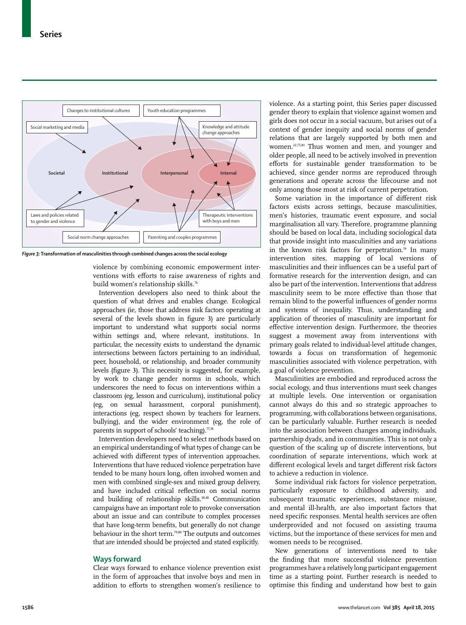

*Figure 3:* **Transformation of masculinities through combined changes across the social ecology**

violence by combining economic empowerment interventions with efforts to raise awareness of rights and build women's relationship skills.<sup>76</sup>

Intervention developers also need to think about the question of what drives and enables change. Ecological approaches (ie, those that address risk factors operating at several of the levels shown in figure 3) are particularly important to understand what supports social norms within settings and, where relevant, institutions. In particular, the necessity exists to understand the dynamic intersections between factors pertaining to an individual, peer, household, or relationship, and broader community levels (figure 3). This necessity is suggested, for example, by work to change gender norms in schools, which underscores the need to focus on interventions within a classroom (eg, lesson and curriculum), institutional policy (eg, on sexual harassment, corporal punishment), interactions (eg, respect shown by teachers for learners, bullying), and the wider environment (eg, the role of parents in support of schools' teaching). $77$ 

Intervention developers need to select methods based on an empirical understanding of what types of change can be achieved with different types of intervention approaches. Interventions that have reduced violence perpetration have tended to be many hours long, often involved women and men with combined single-sex and mixed group delivery, and have included critical reflection on social norms and building of relationship skills.<sup>38,48</sup> Communication campaigns have an important role to provoke conversation about an issue and can contribute to complex processes that have long-term benefits, but generally do not change behaviour in the short term.<sup>79,80</sup> The outputs and outcomes that are intended should be projected and stated explicitly.

## **Ways forward**

Clear ways forward to enhance violence prevention exist in the form of approaches that involve boys and men in addition to efforts to strengthen women's resilience to violence. As a starting point, this Series paper discussed gender theory to explain that violence against women and girls does not occur in a social vacuum, but arises out of a context of gender inequity and social norms of gender relations that are largely supported by both men and women.<sup>22,75,81</sup> Thus women and men, and younger and older people, all need to be actively involved in prevention efforts for sustainable gender transformation to be achieved, since gender norms are reproduced through generations and operate across the lifecourse and not only among those most at risk of current perpetration.

Some variation in the importance of different risk factors exists across settings, because masculinities, men's histories, traumatic event exposure, and social marginalisation all vary. Therefore, programme planning should be based on local data, including sociological data that provide insight into masculinities and any variations in the known risk factors for perpetration.<sup>14</sup> In many intervention sites, mapping of local versions of masculinities and their influences can be a useful part of formative research for the intervention design, and can also be part of the intervention. Interventions that address masculinity seem to be more effective than those that remain blind to the powerful influences of gender norms and systems of inequality. Thus, understanding and application of theories of masculinity are important for effective intervention design. Furthermore, the theories suggest a movement away from interventions with primary goals related to individual-level attitude changes, towards a focus on transformation of hegemonic masculinities associated with violence perpetration, with a goal of violence prevention.

Masculinities are embodied and reproduced across the social ecology, and thus interventions must seek changes at multiple levels. One intervention or organisation cannot always do this and so strategic approaches to programming, with collaborations between organisations, can be particularly valuable. Further research is needed into the association between changes among individuals, partnership dyads, and in communities. This is not only a question of the scaling up of discrete interventions, but coordination of separate interventions, which work at different ecological levels and target different risk factors to achieve a reduction in violence.

Some individual risk factors for violence perpetration, particularly exposure to childhood adversity, and subsequent traumatic experiences, substance misuse, and mental ill-health, are also important factors that need specific responses. Mental health services are often underprovided and not focused on assisting trauma victims, but the importance of these services for men and women needs to be recognised.

New generations of interventions need to take the finding that more successful violence prevention programmes have a relatively long participant engagement time as a starting point. Further research is needed to optimise this finding and understand how best to gain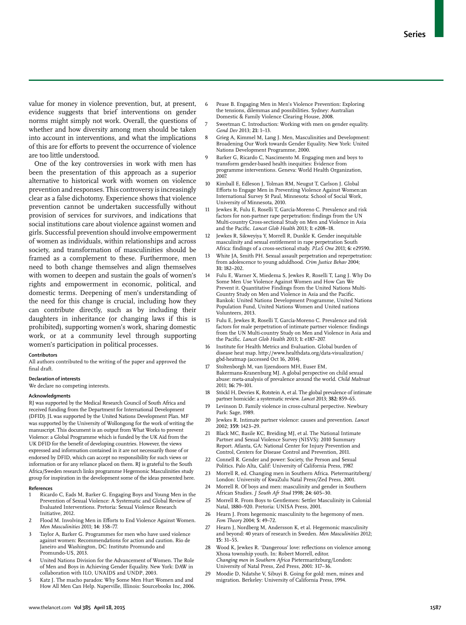value for money in violence prevention, but, at present, evidence suggests that brief interventions on gender norms might simply not work. Overall, the questions of whether and how diversity among men should be taken into account in interventions, and what the implications of this are for efforts to prevent the occurrence of violence are too little understood.

One of the key controversies in work with men has been the presentation of this approach as a superior alternative to historical work with women on violence prevention and responses. This controversy is increasingly clear as a false dichotomy. Experience shows that violence prevention cannot be undertaken successfully without provision of services for survivors, and indications that social institutions care about violence against women and girls. Successful prevention should involve empowerment of women as individuals, within relationships and across society, and transformation of masculinities should be framed as a complement to these. Furthermore, men need to both change themselves and align themselves with women to deepen and sustain the goals of women's rights and empowerment in economic, political, and domestic terms. Deepening of men's understanding of the need for this change is crucial, including how they can contribute directly, such as by including their daughters in inheritance (or changing laws if this is prohibited), supporting women's work, sharing domestic work, or at a community level through supporting women's participation in political processes.

#### **Contributors**

All authors contributed to the writing of the paper and approved the final draft.

#### **Declaration of interests**

We declare no competing interests.

#### **Acknowledgments**

RJ was supported by the Medical Research Council of South Africa and received funding from the Department for International Development (DFID). JL was supported by the United Nations Development Plan. MF was supported by the University of Wollongong for the work of writing the manuscript. This document is an output from What Works to prevent Violence: a Global Programme which is funded by the UK Aid from the UK DFID for the benefit of developing countries. However, the views expressed and information contained in it are not necessarily those of or endorsed by DFID, which can accept no responsibility for such views or information or for any reliance placed on them. RJ is grateful to the South Africa/Sweden research links programme Hegemonic Masculinities study group for inspiration in the development some of the ideas presented here.

#### **References**

- 1 Ricardo C, Eads M, Barker G. Engaging Boys and Young Men in the Prevention of Sexual Violence: A Systematic and Global Review of Evaluated Interventions. Pretoria: Sexual Violence Research Initiative, 2012.
- Flood M. Involving Men in Efforts to End Violence Against Women. *Men Masculinities* 2011; **14:** 358–77.
- Taylor A, Barker G. Programmes for men who have used violence against women: Recommendations for action and caution. Rio de Janeiro and Washington, DC: Instituto Promundo and Promundo-US, 2013.
- 4 United Nations Division for the Advancement of Women. The Role of Men and Boys in Achieving Gender Equality. New York: DAW in collaboration with ILO, UNAIDS and UNDP, 2003.
- 5 Katz J. The macho paradox: Why Some Men Hurt Women and and How All Men Can Help. Naperville, Illinois: Sourcebooks Inc, 2006.
- 6 Pease B. Engaging Men in Men's Violence Prevention: Exploring the tensions, dilemmas and possibilities. Sydney: Australian Domestic & Family Violence Clearing House, 2008.
- Sweetman C. Introduction: Working with men on gender equality. *Gend Dev* 2013; **21:** 1–13.
- 8 Grieg A, Kimmel M, Lang J. Men, Masculinities and Development: Broadening Our Work towards Gender Equality. New York: United Nations Development Programme, 2000.
- 9 Barker G, Ricardo C, Nascimento M. Engaging men and boys to transform gender-based health inequities: Evidence from programme interventions. Geneva: World Health Organization, 2007.
- 10 Kimball E, Edleson J, Tolman RM, Neugut T, Carlson J. Global Efforts to Engage Men in Preventing Violence Against Women:an International Survey St Paul, Minnesota: School of Social Work, University of Minnesota, 2010.
- 11 Jewkes R, Fulu E, Roselli T, García-Moreno C. Prevalence and risk factors for non-partner rape perpetration: findings from the UN Multi-country Cross-sectional Study on Men and Violence in Asia and the Pacific. *Lancet Glob Health* 2013; 1: e208-18.
- 12 Jewkes R, Sikweyiya Y, Morrell R, Dunkle K. Gender inequitable masculinity and sexual entitlement in rape perpetration South Africa: findings of a cross-sectional study. *PLoS One* 2011; 6: e29590.
- 13 White JA, Smith PH. Sexual assault perpetration and reperpetration: from adolescence to young aduldhood. *Crim Justice Behav* 2004; **31:** 182–202.
- 14 Fulu E, Warner X, Miedema S, Jewkes R, Roselli T, Lang J. Why Do Some Men Use Violence Against Women and How Can We Prevent it. Quantitative Findings from the United Nations Multi-Country Study on Men and Violence in Asia and the Pacific. Bankok: United Nations Development Programme, United Nations Population Fund, United Nations Women and United nations Volunteers, 2013.
- 15 Fulu E, Jewkes R, Roselli T, García-Moreno C. Prevalence and risk factors for male perpetration of intimate partner violence: findings from the UN Multi-country Study on Men and Violence in Asia and the Pacific. *Lancet Glob Health* 2013; 1: e187-207.
- Institute for Health Metrics and Evaluation. Global burden of disease heat map. http://www.healthdata.org/data-visualization/ gbd-heatmap (accessed Oct 16, 2014).
- 17 Stoltenborgh M, van Ijzendoorn MH, Euser EM, Bakermans-Kranenburg MJ. A global perspective on child sexual abuse: meta-analysis of prevalence around the world. *Child Maltreat* 2011; **16:** 79–101.
- 18 Stöckl H, Devries K, Rotstein A, et al. The global prevalence of intimate partner homicide: a systematic review. *Lancet* 2013; **382:** 859–65.
- 19 Levinson D. Family violence in cross-cultural perpective. Newbury Park: Sage, 1989.
- 20 Jewkes R. Intimate partner violence: causes and prevention. *Lancet* 2002; **359:** 1423–29.
- 21 Black MC, Basile KC, Breiding MJ, et al. The National Intimate Partner and Sexual Violence Survey (NISVS): 2010 Summary Report. Atlanta, GA: National Center for Injury Prevention and Control, Centers for Disease Control and Prevention, 2011.
- 22 Connell R. Gender and power: Society, the Person and Sexual Politics. Palo Alta, Calif: University of California Press, 1987.
- 23 Morrell R, ed. Changing men in Southern Africa. Pietermaritzberg/ London: University of KwaZulu Natal Press/Zed Press, 2001.
- Morrell R. Of boys and men: masculinity and gender in Southern African Studies. *J South Afr Stud* 1998; **24:** 605–30.
- 25 Morrell R. From Boys to Gentlemen: Settler Masculinity in Colonial Natal, 1880–920. Pretoria: UNISA Press, 2001.
- 26 Hearn J. From hegemonic masculinity to the hegemony of men. *Fem Theory* 2004; **5:** 49–72.
- 27 Hearn J, Nordberg M, Andersson K, et al. Hegemonic masculinity and beyond: 40 years of research in Sweden. *Men Masculinities* 2012; **15:** 31–55.
- 28 Wood K, Jewkes R. 'Dangerous' love: reflections on violence among Xhosa township youth. In: Robert Morrell, editor. *Changing men in Southern Africa* Pietermaritzburg/London: University of Natal Press, Zed Press, 2001: 317–36.
- 29 Moodie D, Ndatshe V, Sibuyi B. Going for gold: men, mines and migration. Berkeley: University of California Press, 1994.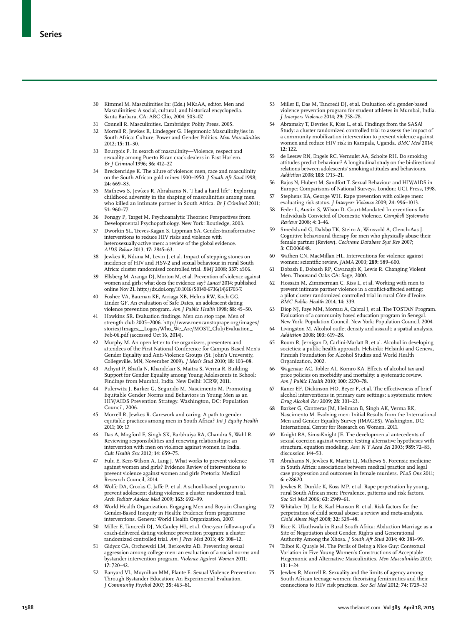- 30 Kimmel M. Masculinities In: (Eds.) MKaAA, editor. Men and Masculinities: A social, cultural, and historical encyclopedia. Santa Barbara, CA: ABC Clio, 2004: 503–07.
- 31 Connell R. Masculinities. Cambridge: Polity Press, 2005.
- 32 Morrell R, Jewkes R, Lindegger G. Hegemonic Masculinity/ies in South Africa: Culture, Power and Gender Politics. *Men Masculinities* 2012; **15:** 11–30.
- 33 Bourgois P. In search of masculinity—Violence, respect and sexuality among Puerto Rican crack dealers in East Harlem. *Br J Criminol* 1996; **36:** 412–27.
- 34 Breckenridge K. The allure of violence: men, race and masculinity on the South African gold mines 1900–1950. *J South Afr Stud* 1998; **24:** 669–83.
- 35 Mathews S, Jewkes R, Abrahams N. 'I had a hard life": Exploring childhood adversity in the shaping of masculinities among men who killed an intimate partner in South Africa. *Br J Criminol* 2011; **51:** 960–77.
- 36 Fonagy P, Target M. Psychoanalytic Theories: Perspectives from Developmental Psychopathology. New York: Routledge, 2003.
- Dworkin SL, Treves-Kagan S, Lippman SA. Gender-transformative interventions to reduce HIV risks and violence with heterosexually-active men: a review of the global evidence. *AIDS Behav* 2013; **17:** 2845–63.
- 38 Jewkes R, Nduna M, Levin J, et al. Impact of stepping stones on incidence of HIV and HSV-2 and sexual behaviour in rural South Africa: cluster randomised controlled trial. *BMJ* 2008; **337:** a506.
- 39 Ellsberg M, Arango DJ, Morton M, et al. Prevention of violence against women and girls: what does the evidence say? *Lancet* 2014; published online Nov 21. http://dx.doi.org/10.1016/S0140-6736(14)61703-7.
- 40 Foshee VA, Bauman KE, Arriaga XB, Helms RW, Koch GG, Linder GF. An evaluation of Safe Dates, an adolescent dating violence prevention program. *Am J Public Health* 1998; **88:** 45–50.
- Hawkins SR. Evaluation findings. Men can stop rape. Men of strength club 2005–2006. http://www.mencanstoprape.org/images/ stories/Images\_\_Logos/Who\_We\_Are/MOST\_Club/Evaluation\_ Feb-06.pdf (accessed Oct 16, 2014).
- 42 Murphy M. An open letter to the organizers, presenters and attendees of the First National Conference for Campus Based Men's Gender Equality and Anti-Violence Groups (St. John's University, Collegeville, MN, November 2009). *J Men's Stud* 2010; **18:** 103–08.
- 43 Achyut P, Bhatla N, Khandekar S, Maitra S, Verma R. Building Support for Gender Equality among Young Adolescents in School: Findings from Mumbai, India. New Delhi: ICRW, 2011.
- 44 Pulerwitz J, Barker G, Segundo M, Nascimento M. Promoting Equitable Gender Norms and Behaviors in Young Men as an HIV/AIDS Prevention Strategy. Washington, DC: Population Council, 2006.
- 45 Morrell R, Jewkes R. Carework and caring: A path to gender equitable practices among men in South Africa? *Int J Equity Health* 2011; **10:** 17.
- 46 Das A, Mogford E, Singh SK, Barbhuiya RA, Chandra S, Wahl R. Reviewing responsibilities and renewing relationships: an intervention with men on violence against women in India. *Cult Health Sex* 2012; **14:** 659–75.
- 47 Fulu E, Kerr-Wilson A, Lang J. What works to prevent violence against women and girls? Evidence Review of interventions to prevent violence against women and girls Pretoria: Medical Research Council, 2014.
- 48 Wolfe DA, Crooks C, Jaffe P, et al. A school-based program to prevent adolescent dating violence: a cluster randomized trial. *Arch Pediatr Adolesc Med* 2009; **163:** 692–99.
- 49 World Health Organization. Engaging Men and Boys in Changing Gender-Based Inequity in Health: Evidence from programme interventions. Geneva: World Health Organization, 2007.
- 50 Miller E, Tancredi DJ, McCauley HL, et al. One-year follow-up of a coach-delivered dating violence prevention program: a cluster randomized controlled trial. *Am J Prev Med* 2013; **45:** 108–12.
- 51 Gidycz CA, Orchowski LM, Berkowitz AD. Preventing sexual aggression among college men: an evaluation of a social norms and bystander intervention program. *Violence Against Women* 2011; **17:** 720–42.
- 52 Banyard VL, Moynihan MM, Plante E. Sexual Violence Prevention Through Bystander Education: An Experimental Evaluation. *J Community Psychol* 2007; **35:** 463–81.
- 53 Miller E, Das M, Tancredi DJ, et al. Evaluation of a gender-based violence prevention program for student athletes in Mumbai, India. *J Interpers Violence* 2014; **29:** 758–78.
- Abramsky T, Devries K, Kiss L, et al. Findings from the SASA! Study: a cluster randomized controlled trial to assess the impact of a community mobilization intervention to prevent violence against women and reduce HIV risk in Kampala, Uganda. *BMC Med* 2014; **12:** 122.
- 55 de Leeuw RN, Engels RC, Vermulst AA, Scholte RH. Do smoking attitudes predict behaviour? A longitudinal study on the bi-directional relations between adolescents' smoking attitudes and behaviours. *Addiction* 2008; **103:** 1713–21.
- 56 Bajos N, Hubert M, Sandfort T. Sexual Behaviour and HIV/AIDS in Europe: Comparisons of National Surveys. London: UCL Press, 1998.
- 57 Stephens KA, George WH. Rape prevention with college men: evaluating risk status. *J Interpers Violence* 2009; **24:** 996–1013.
- 58 Feder L, Austin S, Wilson D. Court-Mandated Interventions for Individuals Convicted of Domestic Violence. *Campbell Systematic Reviews* 2008; **4: 1**–46.
- 59 Smedslund G, Dalsbø TK, Steiro A, Winsvold A, Clench-Aas J. Cognitive behavioural therapy for men who physically abuse their female partner (Review). *Cochrane Database Syst Rev* 2007; **3:** CD006048.
- Wathen CN, MacMillan HL. Interventions for violence against women: scientific review. *JAMA* 2003; 289: 589-600.
- 61 Dobash E, Dobash RP, Cavanagh K, Lewis R. Changing Violent Men. Thousand Oaks CA: Sage, 2000.
- Hossain M, Zimmerman C, Kiss L, et al. Working with men to prevent intimate partner violence in a conflict-affected setting: a pilot cluster randomized controlled trial in rural Côte d'Ivoire. *BMC Public Health* 2014; **14:** 339.
- 63 Diop NJ, Faye MM, Moreau A, Cabral J, et al. The TOSTAN Program. Evaluation of a community based education program in Senegal. New York: Population Council. New York: Population Council, 2004.
- Livingston M. Alcohol outlet density and assault: a spatial analysis. *Addiction* 2008; **103:** 619–28.
- 65 Room R, Jernigan D, Carlini-Marlatt B, et al. Alcohol in developing societies: a public health approach. Helsinki: Helsinki and Geneva, Finnish Foundation for Alcohol Studies and World Health Organization, 2002.
- Wagenaar AC, Tobler AL, Komro KA. Effects of alcohol tax and price policies on morbidity and mortality: a systematic review. *Am J Public Health* 2010; **100:** 2270–78.
- Kaner EF, Dickinson HO, Beyer F, et al. The effectiveness of brief alcohol interventions in primary care settings: a systematic review. *Drug Alcohol Rev* 2009; **28:** 301–23.
- 68 Barker G, Contreras JM, Heilman B, Singh AK, Verma RK, Nascimento M. Evolving men: Initial Results from the International Men and Gender Equality Survey (IMAGES). Washington, DC: International Center for Research on Women, 2011.
- 69 Knight RA, Sims-Knight JE. The developmental antecedents of sexual coercion against women: testing alternative hypotheses with structural equation modeling. *Ann N Y Acad Sci* 2003; **989:** 72–85, discussion 144–53.
- 70 Abrahams N, Jewkes R, Martin LJ, Mathews S. Forensic medicine in South Africa: associations between medical practice and legal case progression and outcomes in female murders. *PLoS One* 2011; **6:** e28620.
- Jewkes R, Dunkle K, Koss MP, et al. Rape perpetration by young, rural South African men: Prevalence, patterns and risk factors. *Soc Sci Med* 2006; **63:** 2949–61.
- 72 Whitaker DJ, Le B, Karl Hanson R, et al. Risk factors for the perpetration of child sexual abuse: a review and meta-analysis. *Child Abuse Negl* 2008; **32:** 529–48.
- 73 Rice K. Ukuthwala in Rural South Africa: Abduction Marriage as a Site of Negotiation about Gender, Rights and Generational Authority Among the Xhosa. *J South Afr Stud* 2014; **40:** 381–99.
- 74 Talbot K, Quayle M. The Perils of Being a Nice Guy: Contextual Variation in Five Young Women's Constructions of Acceptable Hegemonic and Alternative Masculinities. *Men Masculinities* 2010; **13:** 1–24.
- 75 Jewkes R, Morrell R. Sexuality and the limits of agency among South African teenage women: theorising femininities and their connections to HIV risk practices. *Soc Sci Med* 2012; **74:** 1729–37.